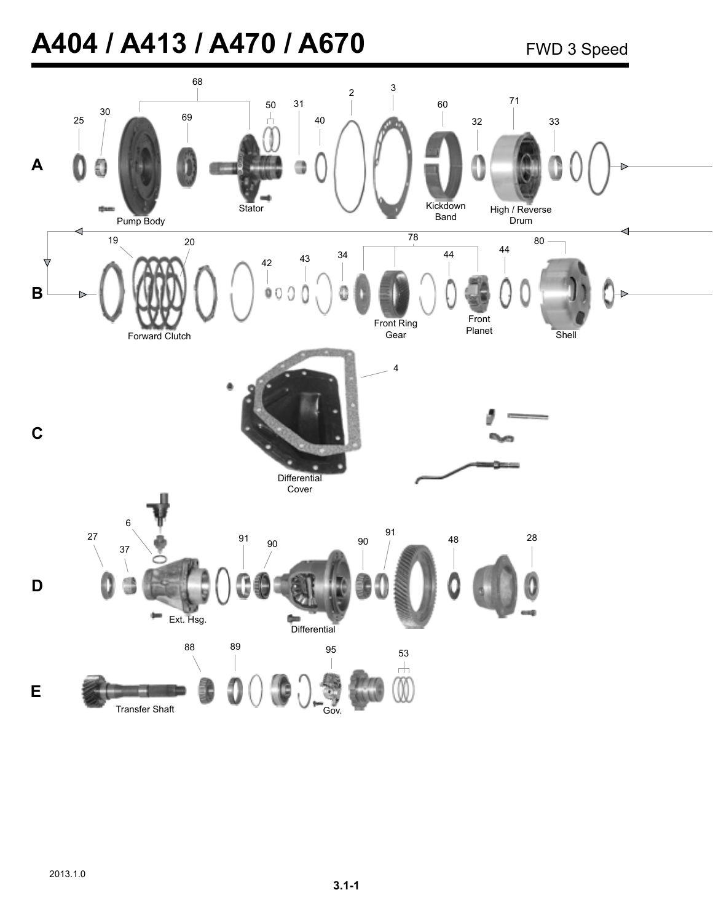# **A404 / A413 / A470 / A670**

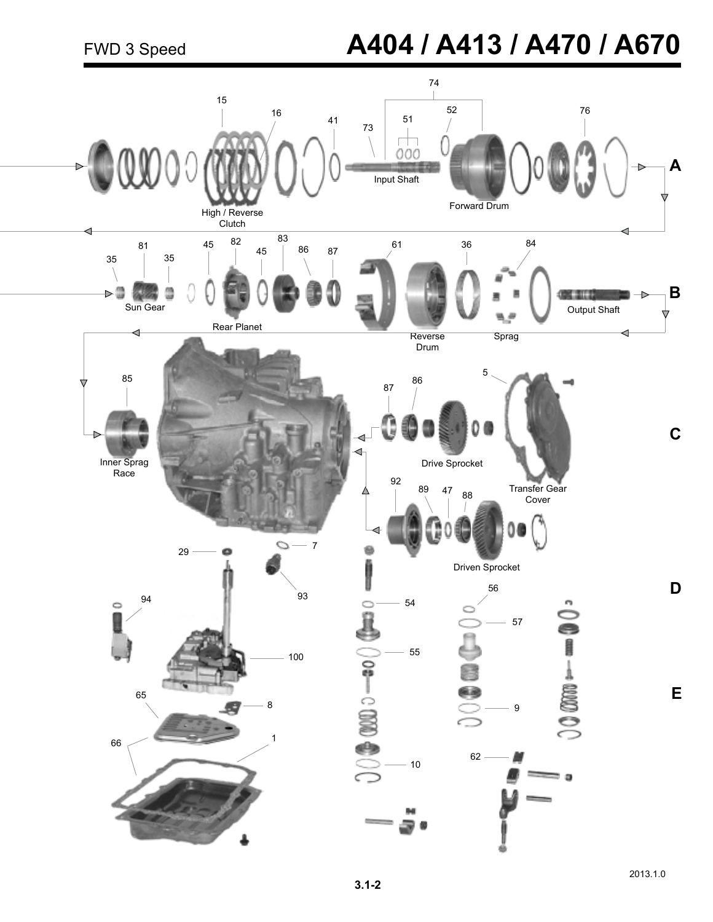## FWD 3 Speed **A404 / A413 / A470 / A670**

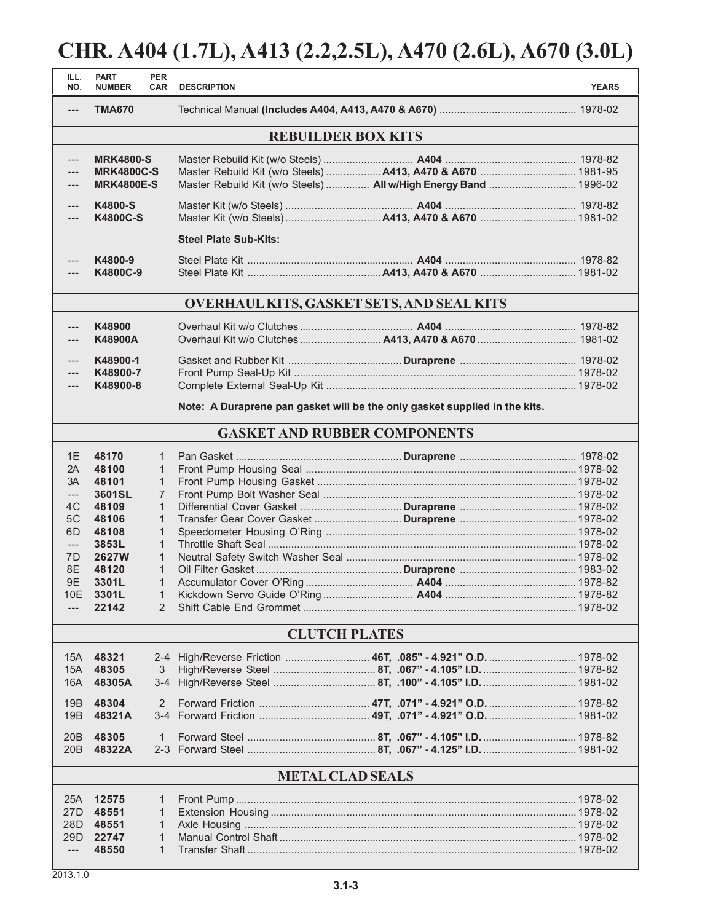#### **CHR. A404 (1.7L), A413 (2.2,2.5L), A470 (2.6L), A670 (3.0L)**

| ILL.<br>NO.               | <b>PART</b><br><b>NUMBER</b>                                               | <b>PER</b><br><b>CAR</b>       | <b>DESCRIPTION</b>                                               |  |  | <b>YEARS</b> |  |
|---------------------------|----------------------------------------------------------------------------|--------------------------------|------------------------------------------------------------------|--|--|--------------|--|
| ---                       | <b>TMA670</b>                                                              |                                |                                                                  |  |  |              |  |
| <b>REBUILDER BOX KITS</b> |                                                                            |                                |                                                                  |  |  |              |  |
| ---                       | <b>MRK4800-S</b>                                                           |                                |                                                                  |  |  |              |  |
|                           | <b>MRK4800C-S</b><br><b>MRK4800E-S</b>                                     |                                | Master Rebuild Kit (w/o Steels)  All w/High Energy Band  1996-02 |  |  |              |  |
|                           |                                                                            |                                |                                                                  |  |  |              |  |
| $---$<br>---              | K4800-S<br><b>K4800C-S</b>                                                 |                                |                                                                  |  |  |              |  |
|                           |                                                                            |                                | <b>Steel Plate Sub-Kits:</b>                                     |  |  |              |  |
| ---                       | K4800-9                                                                    |                                |                                                                  |  |  |              |  |
| ---                       | K4800C-9                                                                   |                                |                                                                  |  |  |              |  |
|                           | <b>OVERHAUL KITS, GASKET SETS, AND SEAL KITS</b>                           |                                |                                                                  |  |  |              |  |
| $---$                     | K48900                                                                     |                                |                                                                  |  |  |              |  |
|                           | K48900A                                                                    |                                |                                                                  |  |  |              |  |
| $---$                     | K48900-1                                                                   |                                |                                                                  |  |  |              |  |
| $---$<br>$---$            | K48900-7<br>K48900-8                                                       |                                |                                                                  |  |  |              |  |
|                           |                                                                            |                                |                                                                  |  |  |              |  |
|                           | Note: A Duraprene pan gasket will be the only gasket supplied in the kits. |                                |                                                                  |  |  |              |  |
|                           |                                                                            |                                | <b>GASKET AND RUBBER COMPONENTS</b>                              |  |  |              |  |
| 1E                        | 48170                                                                      | $\mathbf{1}$                   |                                                                  |  |  |              |  |
| 2A                        | 48100                                                                      | $\mathbf{1}$                   |                                                                  |  |  |              |  |
| 3A<br>$---$               | 48101<br>3601SL                                                            | $\mathbf{1}$<br>$\overline{7}$ |                                                                  |  |  |              |  |
| 4C                        | 48109                                                                      | $\mathbf{1}$                   |                                                                  |  |  |              |  |
| 5C                        | 48106                                                                      | $\mathbf{1}$                   |                                                                  |  |  |              |  |
| 6D                        | 48108                                                                      | $\mathbf{1}$                   |                                                                  |  |  |              |  |
| $\qquad \qquad - -$       | 3853L                                                                      | $\mathbf{1}$                   |                                                                  |  |  |              |  |
| 7D                        | <b>2627W</b>                                                               | $\mathbf{1}$                   |                                                                  |  |  |              |  |
| 8E                        | 48120                                                                      | $\mathbf{1}$                   |                                                                  |  |  |              |  |
| 9E                        | 3301L                                                                      | $\mathbf{1}$                   |                                                                  |  |  |              |  |
| 10E                       | 3301L<br>22142                                                             | $\mathbf{1}$<br>2              |                                                                  |  |  |              |  |
|                           |                                                                            |                                |                                                                  |  |  |              |  |
|                           |                                                                            |                                | <b>CLUTCH PLATES</b>                                             |  |  |              |  |
| 15A                       | 48321                                                                      |                                |                                                                  |  |  |              |  |
| 15A                       | 48305                                                                      | 3                              |                                                                  |  |  |              |  |
| 16A                       | 48305A                                                                     |                                |                                                                  |  |  |              |  |
| 19B                       | 48304                                                                      | 2                              |                                                                  |  |  |              |  |
| 19B                       | 48321A                                                                     |                                |                                                                  |  |  |              |  |
|                           | 20B 48305                                                                  | 1                              |                                                                  |  |  |              |  |
|                           | 20B 48322A                                                                 |                                |                                                                  |  |  |              |  |
| <b>METAL CLAD SEALS</b>   |                                                                            |                                |                                                                  |  |  |              |  |
| 25A                       | 12575                                                                      | 1                              |                                                                  |  |  |              |  |
| 27D                       | 48551                                                                      | 1                              |                                                                  |  |  |              |  |
| 28D                       | 48551                                                                      | 1                              |                                                                  |  |  |              |  |
| 29D                       | 22747                                                                      | 1                              |                                                                  |  |  |              |  |
| ---                       | 48550                                                                      | 1                              |                                                                  |  |  |              |  |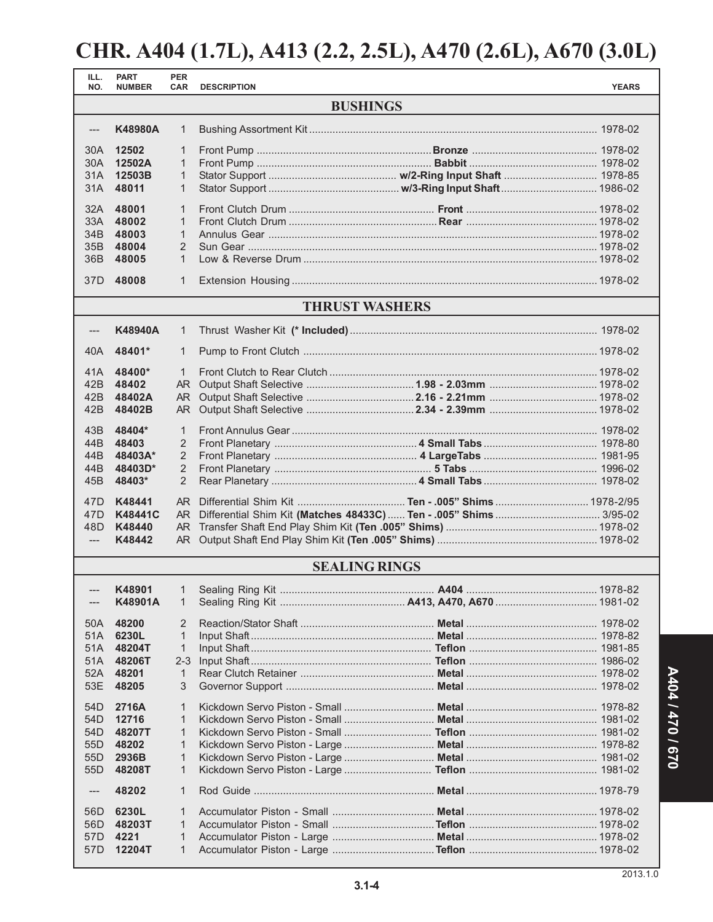#### **CHR. A404 (1.7L), A413 (2.2, 2.5L), A470 (2.6L), A670 (3.0L)**

| ILL.<br>NO.                        | <b>PART</b><br><b>NUMBER</b>                  | <b>PER</b><br><b>CAR</b>                     | <b>DESCRIPTION</b> |                                                                       | <b>YEARS</b> |  |
|------------------------------------|-----------------------------------------------|----------------------------------------------|--------------------|-----------------------------------------------------------------------|--------------|--|
| <b>BUSHINGS</b>                    |                                               |                                              |                    |                                                                       |              |  |
| $---$                              | K48980A                                       | $\mathbf{1}$                                 |                    |                                                                       |              |  |
| 30A<br>30A<br>31A                  | 12502<br>12502A<br>12503B                     | $\mathbf{1}$<br>$\mathbf{1}$<br>$\mathbf{1}$ |                    |                                                                       |              |  |
| 31A                                | 48011                                         | 1                                            |                    |                                                                       |              |  |
| 32A<br>33A<br>34B<br>36B           | 48001<br>48002<br>48003<br>35B 48004<br>48005 | 1<br>1<br>$\mathbf{1}$<br>2<br>$\mathbf{1}$  |                    |                                                                       |              |  |
| 37D                                | 48008                                         | $\mathbf{1}$                                 |                    |                                                                       |              |  |
| <b>THRUST WASHERS</b>              |                                               |                                              |                    |                                                                       |              |  |
| ---                                | K48940A                                       | 1                                            |                    |                                                                       |              |  |
| 40A                                | 48401*                                        | $\mathbf{1}$                                 |                    |                                                                       |              |  |
| 41A                                | 48400*                                        | $\mathbf{1}$                                 |                    |                                                                       |              |  |
| 42B<br>42B                         | 48402<br>48402A                               | AR .<br>AR.                                  |                    |                                                                       |              |  |
| 42B                                | 48402B                                        | AR.                                          |                    |                                                                       |              |  |
| 43B                                | 48404*                                        | $\mathbf{1}$                                 |                    |                                                                       |              |  |
| 44B                                | 48403                                         | 2                                            |                    |                                                                       |              |  |
| 44B                                | 48403A*                                       | 2                                            |                    |                                                                       |              |  |
| 44B<br>45B                         | 48403D*<br>48403*                             | $\overline{2}$<br>2                          |                    |                                                                       |              |  |
|                                    |                                               |                                              |                    |                                                                       |              |  |
| 47D<br>47 <sub>D</sub>             | K48441<br><b>K48441C</b>                      |                                              |                    | AR Differential Shim Kit (Matches 48433C)  Ten - .005" Shims  3/95-02 |              |  |
| 48D                                | K48440                                        |                                              |                    |                                                                       |              |  |
| $\qquad \qquad - -$                | K48442                                        | AR.                                          |                    |                                                                       |              |  |
|                                    | <b>SEALING RINGS</b>                          |                                              |                    |                                                                       |              |  |
|                                    |                                               |                                              |                    |                                                                       |              |  |
| ---                                | K48901A                                       | 1                                            |                    |                                                                       |              |  |
| 50A                                | 48200                                         | 2                                            |                    |                                                                       |              |  |
| 51A                                | 6230L                                         | $\mathbf{1}$                                 |                    |                                                                       |              |  |
| 51A                                | 48204T                                        | $\mathbf{1}$                                 |                    |                                                                       |              |  |
| 51A                                | 48206T                                        | $2 - 3$                                      |                    |                                                                       |              |  |
| 52A                                | 48201                                         | $\mathbf{1}$                                 |                    |                                                                       |              |  |
| 53E                                | 48205                                         | 3                                            |                    |                                                                       |              |  |
| 54 <sub>D</sub>                    | 2716A                                         | $\mathbf{1}$                                 |                    |                                                                       |              |  |
| 54D                                | 12716                                         | $\mathbf{1}$                                 |                    |                                                                       |              |  |
| 54 <sub>D</sub><br>55 <sub>D</sub> | 48207T<br>48202                               | $\mathbf{1}$                                 |                    |                                                                       |              |  |
| 55D                                | 2936B                                         | 1<br>1                                       |                    |                                                                       |              |  |
| 55 <sub>D</sub>                    | 48208T                                        | 1                                            |                    |                                                                       |              |  |
| $\hspace{1.5cm} \textbf{---}$      | 48202                                         | $\mathbf{1}$                                 |                    |                                                                       |              |  |
| 56 <sub>D</sub>                    | 6230L                                         | 1                                            |                    |                                                                       |              |  |
| 56D                                | 48203T                                        | $\mathbf{1}$                                 |                    |                                                                       |              |  |
| 57D                                | 4221                                          | 1                                            |                    |                                                                       |              |  |
| 57D                                | 12204T                                        | 1                                            |                    |                                                                       |              |  |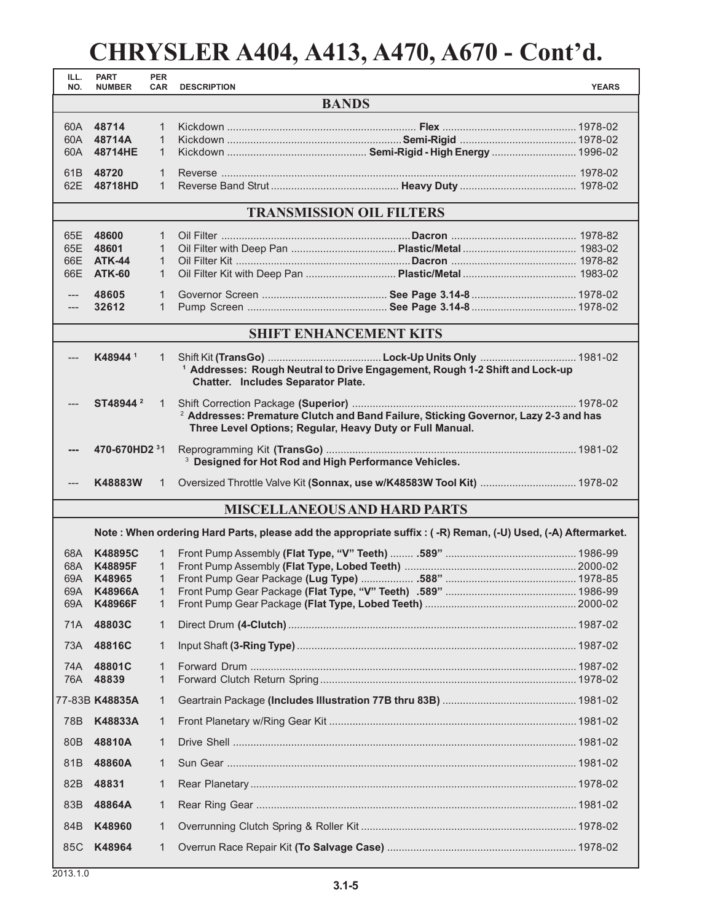### **CHRYSLER A404, A413, A470, A670 - Cont'd.**

| ILL.<br>NO. | <b>PART</b><br><b>NUMBER</b>        | <b>PER</b><br><b>CAR</b> | <b>DESCRIPTION</b>                                                                                                                                         | <b>YEARS</b> |  |  |
|-------------|-------------------------------------|--------------------------|------------------------------------------------------------------------------------------------------------------------------------------------------------|--------------|--|--|
|             | <b>BANDS</b>                        |                          |                                                                                                                                                            |              |  |  |
|             | 60A 48714                           | $\mathbf{1}$             |                                                                                                                                                            |              |  |  |
|             | 60A 48714A                          | 1                        |                                                                                                                                                            |              |  |  |
|             | 60A 48714HE                         | $\mathbf{1}$             |                                                                                                                                                            |              |  |  |
|             | 61B 48720                           | $\mathbf{1}$             |                                                                                                                                                            |              |  |  |
|             | 62E 48718HD                         | $\mathbf{1}$             |                                                                                                                                                            |              |  |  |
|             | <b>TRANSMISSION OIL FILTERS</b>     |                          |                                                                                                                                                            |              |  |  |
|             | 65E 48600                           | $\mathbf{1}$             |                                                                                                                                                            |              |  |  |
| 65E         | 48601                               | $\mathbf{1}$             |                                                                                                                                                            |              |  |  |
|             | 66E ATK-44                          | $\mathbf{1}$             |                                                                                                                                                            |              |  |  |
|             | 66E ATK-60                          | $\mathbf{1}$             |                                                                                                                                                            |              |  |  |
| ---         | 48605                               | $\mathbf{1}$             |                                                                                                                                                            |              |  |  |
| ---         | 32612                               | 1                        |                                                                                                                                                            |              |  |  |
|             |                                     |                          | <b>SHIFT ENHANCEMENT KITS</b>                                                                                                                              |              |  |  |
|             | K48944 <sup>1</sup>                 | 1                        | <sup>1</sup> Addresses: Rough Neutral to Drive Engagement, Rough 1-2 Shift and Lock-up<br>Chatter. Includes Separator Plate.                               |              |  |  |
|             | ST48944 <sup>2</sup>                | 1                        | <sup>2</sup> Addresses: Premature Clutch and Band Failure, Sticking Governor, Lazy 2-3 and has<br>Three Level Options; Regular, Heavy Duty or Full Manual. |              |  |  |
|             | 470-670HD2 31                       |                          | <sup>3</sup> Designed for Hot Rod and High Performance Vehicles.                                                                                           |              |  |  |
|             | K48883W                             | 1                        | Oversized Throttle Valve Kit (Sonnax, use w/K48583W Tool Kit)  1978-02                                                                                     |              |  |  |
|             | <b>MISCELLANEOUS AND HARD PARTS</b> |                          |                                                                                                                                                            |              |  |  |
|             |                                     |                          | Note: When ordering Hard Parts, please add the appropriate suffix: (-R) Reman, (-U) Used, (-A) Aftermarket.                                                |              |  |  |
| 68A -       | <b>K48895C</b>                      | 1                        |                                                                                                                                                            |              |  |  |
| 68A         | <b>K48895F</b>                      | 1                        |                                                                                                                                                            |              |  |  |
| 69A         | K48965                              | 1                        |                                                                                                                                                            |              |  |  |
| 69A         | K48966A<br>69A K48966F              | $1 \quad$<br>1           |                                                                                                                                                            |              |  |  |
| 71A         | 48803C                              | 1                        |                                                                                                                                                            |              |  |  |
|             | 73A 48816C                          | 1                        |                                                                                                                                                            |              |  |  |
|             |                                     |                          |                                                                                                                                                            |              |  |  |
| 74A<br>76A  | 48801C<br>48839                     | 1<br>1                   |                                                                                                                                                            |              |  |  |
|             | 77-83B K48835A                      | 1                        |                                                                                                                                                            |              |  |  |
| 78B         | K48833A                             | 1                        |                                                                                                                                                            |              |  |  |
| 80B         | 48810A                              | 1                        |                                                                                                                                                            |              |  |  |
| 81B         | 48860A                              | 1                        |                                                                                                                                                            |              |  |  |
| 82B         | 48831                               | 1                        |                                                                                                                                                            |              |  |  |
| 83B         | 48864A                              | 1                        |                                                                                                                                                            |              |  |  |
| 84B         | K48960                              | 1                        |                                                                                                                                                            |              |  |  |
| 85C         | K48964                              | 1                        |                                                                                                                                                            |              |  |  |